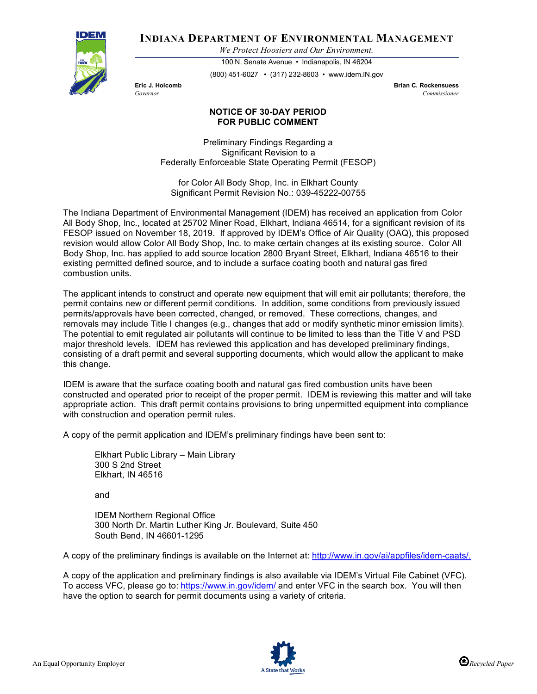

# **INDIANA DEPARTMENT OF ENVIRONMENTAL MANAGEMENT**

*We Protect Hoosiers and Our Environment.*

100 N. Senate Avenue • Indianapolis, IN 46204

(800) 451-6027 • (317) 232-8603 • www.idem.IN.gov

**Eric J. Holcomb Exercise Exercise Exercise Exercise Exercise Exercise Exercise Exercise Exercise Commissioner**<br>Commissioner *Governor Commissioner* 

## **NOTICE OF 30-DAY PERIOD FOR PUBLIC COMMENT**

Preliminary Findings Regarding a Significant Revision to a Federally Enforceable State Operating Permit (FESOP)

for Color All Body Shop, Inc. in Elkhart County Significant Permit Revision No.: 039-45222-00755

The Indiana Department of Environmental Management (IDEM) has received an application from Color All Body Shop, Inc., located at 25702 Miner Road, Elkhart, Indiana 46514, for a significant revision of its FESOP issued on November 18, 2019. If approved by IDEM's Office of Air Quality (OAQ), this proposed revision would allow Color All Body Shop, Inc. to make certain changes at its existing source. Color All Body Shop, Inc. has applied to add source location 2800 Bryant Street, Elkhart, Indiana 46516 to their existing permitted defined source, and to include a surface coating booth and natural gas fired combustion units.

The applicant intends to construct and operate new equipment that will emit air pollutants; therefore, the permit contains new or different permit conditions. In addition, some conditions from previously issued permits/approvals have been corrected, changed, or removed. These corrections, changes, and removals may include Title I changes (e.g., changes that add or modify synthetic minor emission limits). The potential to emit regulated air pollutants will continue to be limited to less than the Title V and PSD major threshold levels. IDEM has reviewed this application and has developed preliminary findings, consisting of a draft permit and several supporting documents, which would allow the applicant to make this change.

IDEM is aware that the surface coating booth and natural gas fired combustion units have been constructed and operated prior to receipt of the proper permit. IDEM is reviewing this matter and will take appropriate action. This draft permit contains provisions to bring unpermitted equipment into compliance with construction and operation permit rules.

A copy of the permit application and IDEM's preliminary findings have been sent to:

Elkhart Public Library – Main Library 300 S 2nd Street Elkhart, IN 46516

and

IDEM Northern Regional Office 300 North Dr. Martin Luther King Jr. Boulevard, Suite 450 South Bend, IN 46601-1295

A copy of the preliminary findings is available on the Internet at[: http://www.in.gov/ai/appfiles/idem-caats/.](http://www.in.gov/ai/appfiles/idem-caats/)

A copy of the application and preliminary findings is also available via IDEM's Virtual File Cabinet (VFC). To access VFC, please go to:<https://www.in.gov/idem/> and enter VFC in the search box. You will then have the option to search for permit documents using a variety of criteria.

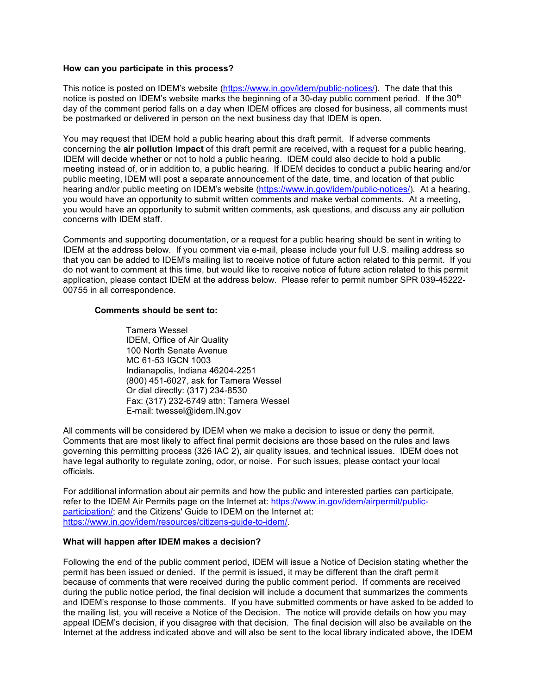### **How can you participate in this process?**

This notice is posted on IDEM's website [\(https://www.in.gov/idem/public-notices/\)](https://www.in.gov/idem/public-notices/). The date that this notice is posted on IDEM's website marks the beginning of a 30-day public comment period. If the 30<sup>th</sup> day of the comment period falls on a day when IDEM offices are closed for business, all comments must be postmarked or delivered in person on the next business day that IDEM is open.

You may request that IDEM hold a public hearing about this draft permit. If adverse comments concerning the **air pollution impact** of this draft permit are received, with a request for a public hearing, IDEM will decide whether or not to hold a public hearing. IDEM could also decide to hold a public meeting instead of, or in addition to, a public hearing. If IDEM decides to conduct a public hearing and/or public meeting, IDEM will post a separate announcement of the date, time, and location of that public hearing and/or public meeting on IDEM's website [\(https://www.in.gov/idem/public-notices/\)](https://www.in.gov/idem/public-notices/). At a hearing, you would have an opportunity to submit written comments and make verbal comments. At a meeting, you would have an opportunity to submit written comments, ask questions, and discuss any air pollution concerns with IDEM staff.

Comments and supporting documentation, or a request for a public hearing should be sent in writing to IDEM at the address below. If you comment via e-mail, please include your full U.S. mailing address so that you can be added to IDEM's mailing list to receive notice of future action related to this permit. If you do not want to comment at this time, but would like to receive notice of future action related to this permit application, please contact IDEM at the address below. Please refer to permit number SPR 039-45222- 00755 in all correspondence.

### **Comments should be sent to:**

Tamera Wessel IDEM, Office of Air Quality 100 North Senate Avenue MC 61-53 IGCN 1003 Indianapolis, Indiana 46204-2251 (800) 451-6027, ask for Tamera Wessel Or dial directly: (317) 234-8530 Fax: (317) 232-6749 attn: Tamera Wessel E-mail: twessel@idem.IN.gov

All comments will be considered by IDEM when we make a decision to issue or deny the permit. Comments that are most likely to affect final permit decisions are those based on the rules and laws governing this permitting process (326 IAC 2), air quality issues, and technical issues. IDEM does not have legal authority to regulate zoning, odor, or noise. For such issues, please contact your local officials.

For additional information about air permits and how the public and interested parties can participate, refer to the IDEM Air Permits page on the Internet at: [https://www.in.gov/idem/airpermit/public](https://www.in.gov/idem/airpermit/public-participation/)[participation/;](https://www.in.gov/idem/airpermit/public-participation/) and the Citizens' Guide to IDEM on the Internet at: [https://www.in.gov/idem/resources/citizens-guide-to-idem/.](https://www.in.gov/idem/resources/citizens-guide-to-idem/)

#### **What will happen after IDEM makes a decision?**

Following the end of the public comment period, IDEM will issue a Notice of Decision stating whether the permit has been issued or denied. If the permit is issued, it may be different than the draft permit because of comments that were received during the public comment period. If comments are received during the public notice period, the final decision will include a document that summarizes the comments and IDEM's response to those comments. If you have submitted comments or have asked to be added to the mailing list, you will receive a Notice of the Decision. The notice will provide details on how you may appeal IDEM's decision, if you disagree with that decision. The final decision will also be available on the Internet at the address indicated above and will also be sent to the local library indicated above, the IDEM